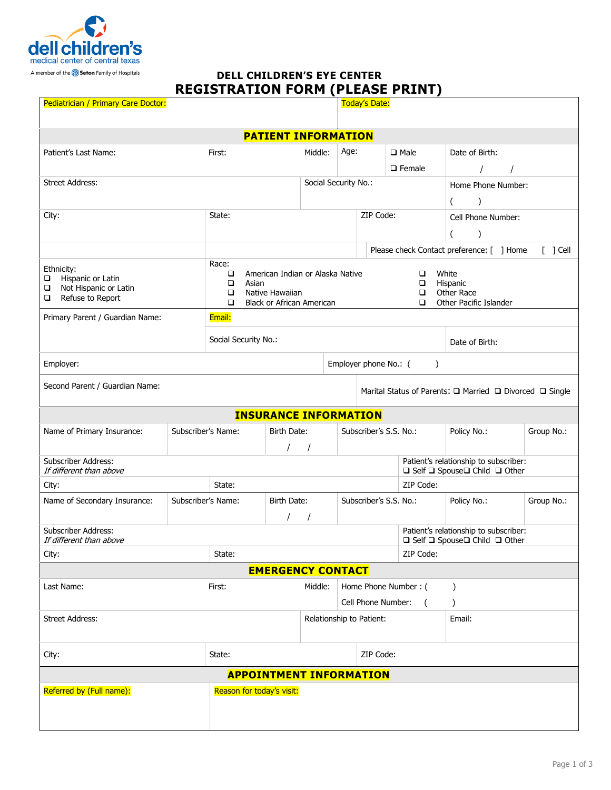

# **DELL CHILDREN'S EYE CENTER REGISTRATION FORM (PLEASE PRINT)**

| Pediatrician / Primary Care Doctor:                                                              |        |                                                                                                                        |                         |                                 |                                                | <b>Today's Date:</b>                                                               |                                 |                    |                                                                         |                |            |  |
|--------------------------------------------------------------------------------------------------|--------|------------------------------------------------------------------------------------------------------------------------|-------------------------|---------------------------------|------------------------------------------------|------------------------------------------------------------------------------------|---------------------------------|--------------------|-------------------------------------------------------------------------|----------------|------------|--|
| <b>PATIENT INFORMATION</b>                                                                       |        |                                                                                                                        |                         |                                 |                                                |                                                                                    |                                 |                    |                                                                         |                |            |  |
| Patient's Last Name:                                                                             |        | First:                                                                                                                 | Middle:                 | Age:                            |                                                |                                                                                    | $\square$ Male<br>$\Box$ Female |                    | Date of Birth:<br>$\prime$<br>$\prime$                                  |                |            |  |
| <b>Street Address:</b>                                                                           |        |                                                                                                                        | Social Security No.:    |                                 |                                                |                                                                                    |                                 | Home Phone Number: |                                                                         |                |            |  |
| City:                                                                                            | State: |                                                                                                                        |                         |                                 | ZIP Code:                                      |                                                                                    |                                 |                    | $\mathcal{E}$                                                           |                |            |  |
|                                                                                                  |        |                                                                                                                        |                         |                                 |                                                |                                                                                    |                                 |                    | Cell Phone Number:<br>$\mathcal{E}$<br>(                                |                |            |  |
|                                                                                                  |        |                                                                                                                        |                         |                                 |                                                |                                                                                    |                                 |                    | Please check Contact preference: [ ] Home<br>$[$ ] Cell                 |                |            |  |
| Ethnicity:<br>Hispanic or Latin<br>$\Box$<br>Not Hispanic or Latin<br>❏<br>Refuse to Report<br>❏ |        | Race:<br>American Indian or Alaska Native<br>□<br>▫<br>Asian<br>Native Hawaiian<br>□<br>Black or African American<br>□ |                         |                                 |                                                | White<br>□<br>$\Box$<br>Hispanic<br>Other Race<br>□<br>□<br>Other Pacific Islander |                                 |                    |                                                                         |                |            |  |
| Primary Parent / Guardian Name:<br>Email:                                                        |        |                                                                                                                        |                         |                                 |                                                |                                                                                    |                                 |                    |                                                                         |                |            |  |
|                                                                                                  |        | Social Security No.:                                                                                                   |                         |                                 |                                                |                                                                                    |                                 |                    |                                                                         | Date of Birth: |            |  |
| Employer:                                                                                        |        |                                                                                                                        |                         |                                 |                                                | Employer phone No.: (<br>$\lambda$                                                 |                                 |                    |                                                                         |                |            |  |
| Second Parent / Guardian Name:                                                                   |        |                                                                                                                        |                         |                                 |                                                | Marital Status of Parents: $\Box$ Married $\Box$ Divorced $\Box$ Single            |                                 |                    |                                                                         |                |            |  |
| <b>INSURANCE INFORMATION</b>                                                                     |        |                                                                                                                        |                         |                                 |                                                |                                                                                    |                                 |                    |                                                                         |                |            |  |
| Subscriber's Name:<br>Name of Primary Insurance:                                                 |        |                                                                                                                        | Birth Date:<br>$\prime$ |                                 |                                                | Subscriber's S.S. No.:                                                             |                                 |                    | Policy No.:                                                             | Group No.:     |            |  |
| Subscriber Address:<br>If different than above                                                   |        |                                                                                                                        |                         |                                 |                                                |                                                                                    |                                 |                    | Patient's relationship to subscriber:<br>□ Self □ Spouse□ Child □ Other |                |            |  |
| City:                                                                                            | State: |                                                                                                                        |                         |                                 | ZIP Code:                                      |                                                                                    |                                 |                    |                                                                         |                |            |  |
| Subscriber's Name:<br>Name of Secondary Insurance:                                               |        | Birth Date:                                                                                                            |                         |                                 |                                                | Subscriber's S.S. No.:                                                             |                                 |                    |                                                                         | Policy No.:    | Group No.: |  |
| <b>Subscriber Address:</b><br>If different than above                                            |        |                                                                                                                        |                         |                                 |                                                |                                                                                    |                                 |                    | Patient's relationship to subscriber:<br>□ Self □ Spouse□ Child □ Other |                |            |  |
| City:                                                                                            | State: |                                                                                                                        |                         |                                 | ZIP Code:                                      |                                                                                    |                                 |                    |                                                                         |                |            |  |
| <b>EMERGENCY CONTACT</b>                                                                         |        |                                                                                                                        |                         |                                 |                                                |                                                                                    |                                 |                    |                                                                         |                |            |  |
| Last Name:                                                                                       | First: |                                                                                                                        |                         | Home Phone Number: (<br>Middle: |                                                |                                                                                    |                                 |                    |                                                                         |                |            |  |
|                                                                                                  |        |                                                                                                                        |                         |                                 | Cell Phone Number:<br>Relationship to Patient: |                                                                                    |                                 |                    | $\left($                                                                |                |            |  |
| <b>Street Address:</b>                                                                           |        |                                                                                                                        |                         |                                 |                                                |                                                                                    |                                 |                    | Email:                                                                  |                |            |  |
| City:                                                                                            | State: |                                                                                                                        |                         |                                 | ZIP Code:                                      |                                                                                    |                                 |                    |                                                                         |                |            |  |
| <b>APPOINTMENT INFORMATION</b>                                                                   |        |                                                                                                                        |                         |                                 |                                                |                                                                                    |                                 |                    |                                                                         |                |            |  |
| Referred by (Full name):                                                                         |        | Reason for today's visit:                                                                                              |                         |                                 |                                                |                                                                                    |                                 |                    |                                                                         |                |            |  |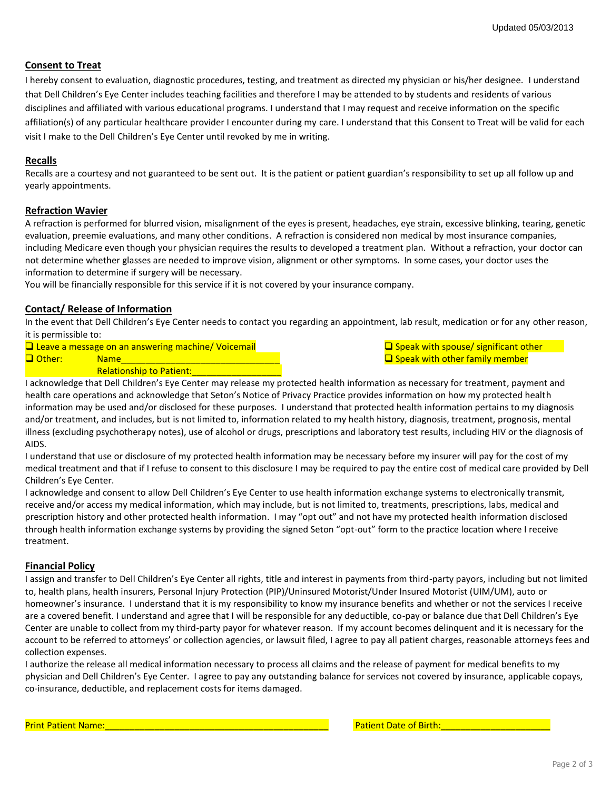# **Consent to Treat**

I hereby consent to evaluation, diagnostic procedures, testing, and treatment as directed my physician or his/her designee. I understand that Dell Children's Eye Center includes teaching facilities and therefore I may be attended to by students and residents of various disciplines and affiliated with various educational programs. I understand that I may request and receive information on the specific affiliation(s) of any particular healthcare provider I encounter during my care. I understand that this Consent to Treat will be valid for each visit I make to the Dell Children's Eye Center until revoked by me in writing.

#### **Recalls**

Recalls are a courtesy and not guaranteed to be sent out. It is the patient or patient guardian's responsibility to set up all follow up and yearly appointments.

#### **Refraction Wavier**

A refraction is performed for blurred vision, misalignment of the eyes is present, headaches, eye strain, excessive blinking, tearing, genetic evaluation, preemie evaluations, and many other conditions. A refraction is considered non medical by most insurance companies, including Medicare even though your physician requires the results to developed a treatment plan. Without a refraction, your doctor can not determine whether glasses are needed to improve vision, alignment or other symptoms. In some cases, your doctor uses the information to determine if surgery will be necessary.

You will be financially responsible for this service if it is not covered by your insurance company.

#### **Contact/ Release of Information**

In the event that Dell Children's Eye Center needs to contact you regarding an appointment, lab result, medication or for any other reason, it is permissible to:

- $\Box$  Leave a message on an answering machine/ Voicemail  $\Box$  Speak with spouse/ significant other  $\Box$  Other: Name Name Name  $\Box$  Other: Name Name Sheek with other family member
	- Relationship to Patient:

I acknowledge that Dell Children's Eye Center may release my protected health information as necessary for treatment, payment and health care operations and acknowledge that Seton's Notice of Privacy Practice provides information on how my protected health information may be used and/or disclosed for these purposes. I understand that protected health information pertains to my diagnosis and/or treatment, and includes, but is not limited to, information related to my health history, diagnosis, treatment, prognosis, mental illness (excluding psychotherapy notes), use of alcohol or drugs, prescriptions and laboratory test results, including HIV or the diagnosis of AIDS.

I understand that use or disclosure of my protected health information may be necessary before my insurer will pay for the cost of my medical treatment and that if I refuse to consent to this disclosure I may be required to pay the entire cost of medical care provided by Dell Children's Eye Center.

I acknowledge and consent to allow Dell Children's Eye Center to use health information exchange systems to electronically transmit, receive and/or access my medical information, which may include, but is not limited to, treatments, prescriptions, labs, medical and prescription history and other protected health information. I may "opt out" and not have my protected health information disclosed through health information exchange systems by providing the signed Seton "opt-out" form to the practice location where I receive treatment.

#### **Financial Policy**

I assign and transfer to Dell Children's Eye Center all rights, title and interest in payments from third-party payors, including but not limited to, health plans, health insurers, Personal Injury Protection (PIP)/Uninsured Motorist/Under Insured Motorist (UIM/UM), auto or homeowner's insurance. I understand that it is my responsibility to know my insurance benefits and whether or not the services I receive are a covered benefit. I understand and agree that I will be responsible for any deductible, co-pay or balance due that Dell Children's Eye Center are unable to collect from my third-party payor for whatever reason. If my account becomes delinquent and it is necessary for the account to be referred to attorneys' or collection agencies, or lawsuit filed, I agree to pay all patient charges, reasonable attorneys fees and collection expenses.

I authorize the release all medical information necessary to process all claims and the release of payment for medical benefits to my physician and Dell Children's Eye Center. I agree to pay any outstanding balance for services not covered by insurance, applicable copays, co-insurance, deductible, and replacement costs for items damaged.